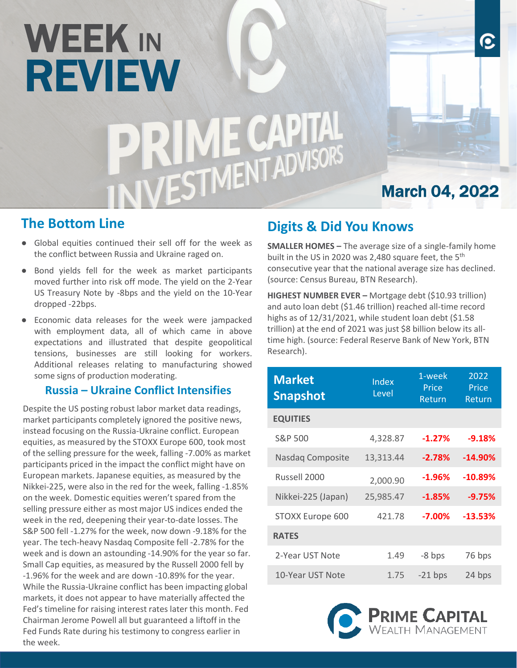# WEEK IN REVIEW **PRIME CAPITAL**<br>INVESTMENT ADVISORS

# **The Bottom Line**

- Global equities continued their sell off for the week as the conflict between Russia and Ukraine raged on.
- Bond yields fell for the week as market participants moved further into risk off mode. The yield on the 2-Year US Treasury Note by -8bps and the yield on the 10-Year dropped -22bps.
- Economic data releases for the week were jampacked with employment data, all of which came in above expectations and illustrated that despite geopolitical tensions, businesses are still looking for workers. Additional releases relating to manufacturing showed some signs of production moderating.

## **Russia – Ukraine Conflict Intensifies**

Despite the US posting robust labor market data readings, market participants completely ignored the positive news, instead focusing on the Russia-Ukraine conflict. European equities, as measured by the STOXX Europe 600, took most of the selling pressure for the week, falling -7.00% as market participants priced in the impact the conflict might have on European markets. Japanese equities, as measured by the Nikkei-225, were also in the red for the week, falling -1.85% on the week. Domestic equities weren't spared from the selling pressure either as most major US indices ended the week in the red, deepening their year-to-date losses. The S&P 500 fell -1.27% for the week, now down -9.18% for the year. The tech-heavy Nasdaq Composite fell -2.78% for the week and is down an astounding -14.90% for the year so far. Small Cap equities, as measured by the Russell 2000 fell by -1.96% for the week and are down -10.89% for the year. While the Russia-Ukraine conflict has been impacting global markets, it does not appear to have materially affected the Fed's timeline for raising interest rates later this month. Fed Chairman Jerome Powell all but guaranteed a liftoff in the Fed Funds Rate during his testimony to congress earlier in the week.

# **Digits & Did You Knows**

**SMALLER HOMES –** The average size of a single-family home built in the US in 2020 was 2,480 square feet, the 5th consecutive year that the national average size has declined. (source: Census Bureau, BTN Research).

March 04, 2022

O

**HIGHEST NUMBER EVER –** Mortgage debt (\$10.93 trillion) and auto loan debt (\$1.46 trillion) reached all-time record highs as of 12/31/2021, while student loan debt (\$1.58) trillion) at the end of 2021 was just \$8 billion below its alltime high. (source: Federal Reserve Bank of New York, BTN Research).

| <b>Market</b><br><b>Snapshot</b> | 1-week<br>Index<br>Price<br>Level<br>Return |           | 2022<br>Price<br>Return |
|----------------------------------|---------------------------------------------|-----------|-------------------------|
| <b>EQUITIES</b>                  |                                             |           |                         |
| S&P 500                          | 4,328.87                                    | $-1.27%$  | $-9.18%$                |
| Nasdaq Composite                 | 13,313.44                                   | $-2.78%$  | $-14.90%$               |
| Russell 2000                     | 2,000.90                                    | $-1.96%$  | $-10.89%$               |
| Nikkei-225 (Japan)               | 25,985.47                                   | $-1.85%$  | $-9.75%$                |
| STOXX Europe 600                 | 421.78                                      | $-7.00%$  | $-13.53%$               |
| <b>RATES</b>                     |                                             |           |                         |
| 2-Year UST Note                  | 1.49                                        | -8 bps    | 76 bps                  |
| 10-Year UST Note                 | 1.75                                        | $-21$ bps | 24 bps                  |

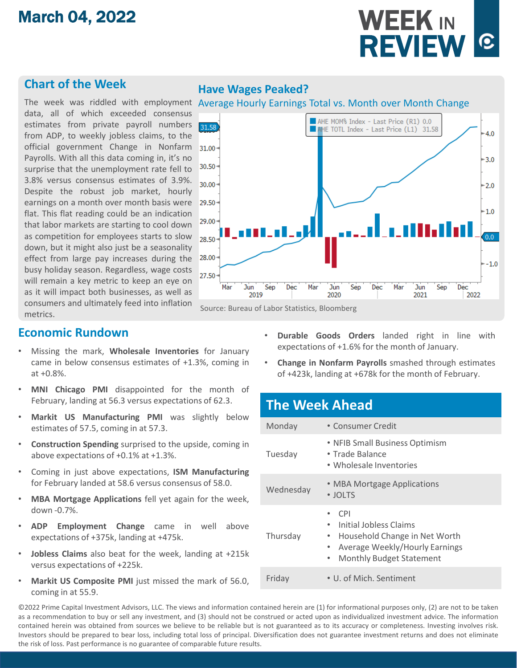# March 04, 2022

# WEEK IN **REVIEW G**

## **Chart of the Week**

data, all of which exceeded consensus estimates from private payroll numbers from ADP, to weekly jobless claims, to the official government Change in Nonfarm Payrolls. With all this data coming in, it's no surprise that the unemployment rate fell to 3.8% versus consensus estimates of 3.9%. Despite the robust job market, hourly earnings on a month over month basis were flat. This flat reading could be an indication that labor markets are starting to cool down as competition for employees starts to slow down, but it might also just be a seasonality effect from large pay increases during the busy holiday season. Regardless, wage costs will remain a key metric to keep an eye on as it will impact both businesses, as well as consumers and ultimately feed into inflation metrics.



#### Source: Bureau of Labor Statistics, Bloomberg

#### **Economic Rundown**

- Missing the mark, **Wholesale Inventories** for January came in below consensus estimates of +1.3%, coming in at +0.8%.
- **MNI Chicago PMI** disappointed for the month of February, landing at 56.3 versus expectations of 62.3.
- **Markit US Manufacturing PMI** was slightly below estimates of 57.5, coming in at 57.3.
- **Construction Spending** surprised to the upside, coming in above expectations of +0.1% at +1.3%.
- Coming in just above expectations, **ISM Manufacturing** for February landed at 58.6 versus consensus of 58.0.
- **MBA Mortgage Applications** fell yet again for the week, down -0.7%.
- **ADP Employment Change** came in well above expectations of +375k, landing at +475k.
- **Jobless Claims** also beat for the week, landing at +215k versus expectations of +225k.
- **Markit US Composite PMI** just missed the mark of 56.0, coming in at 55.9.
- **Durable Goods Orders** landed right in line with expectations of +1.6% for the month of January.
- **Change in Nonfarm Payrolls** smashed through estimates of +423k, landing at +678k for the month of February.

# **The Week Ahead**

| Monday    | • Consumer Credit                                                                                                                                                                             |
|-----------|-----------------------------------------------------------------------------------------------------------------------------------------------------------------------------------------------|
| Tuesday   | • NFIB Small Business Optimism<br>• Trade Balance<br>• Wholesale Inventories                                                                                                                  |
| Wednesday | • MBA Mortgage Applications<br>• JOLTS                                                                                                                                                        |
| Thursday  | -CPI<br>$\bullet$<br>Initial Jobless Claims<br>$\bullet$<br>Household Change in Net Worth<br>٠<br>Average Weekly/Hourly Earnings<br>$\bullet$<br><b>Monthly Budget Statement</b><br>$\bullet$ |
| Friday    | • U. of Mich. Sentiment                                                                                                                                                                       |

©2022 Prime Capital Investment Advisors, LLC. The views and information contained herein are (1) for informational purposes only, (2) are not to be taken as a recommendation to buy or sell any investment, and (3) should not be construed or acted upon as individualized investment advice. The information contained herein was obtained from sources we believe to be reliable but is not guaranteed as to its accuracy or completeness. Investing involves risk. Investors should be prepared to bear loss, including total loss of principal. Diversification does not guarantee investment returns and does not eliminate the risk of loss. Past performance is no guarantee of comparable future results.

#### **Have Wages Peaked?**

#### The week was riddled with employment Average Hourly Earnings Total vs. Month over Month Change